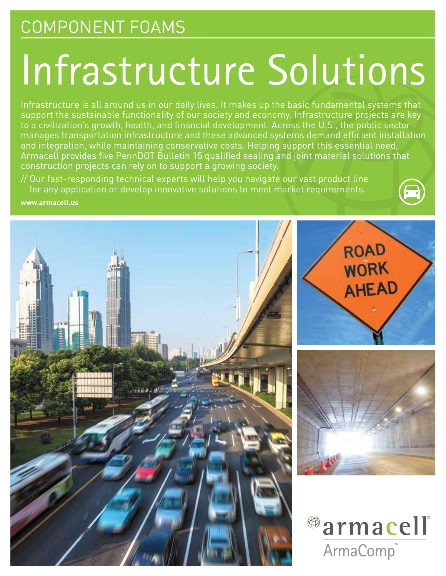## COMPONENT FOAMS

# Infrastructure Solutions

Infrastructure is all around us in our daily lives. It makes up the basic fundamental systems that support the sustainable functionality of our society and economy. Infrastructure projects are key to a civilization's growth, health, and financial development. Across the U.S., the public sector manages transportation infrastructure and these advanced systems demand efficient installation and integration, while maintaining conservative costs. Helping support this essential need, Armacell provides five PennDOT Bulletin 15 qualified sealing and joint material solutions that construction projects can rely on to support a growing society.

// Our fast-responding technical experts will help you navigate our vast product line for any application or develop innovative solutions to meet market requirements.

**www.armacell.us**

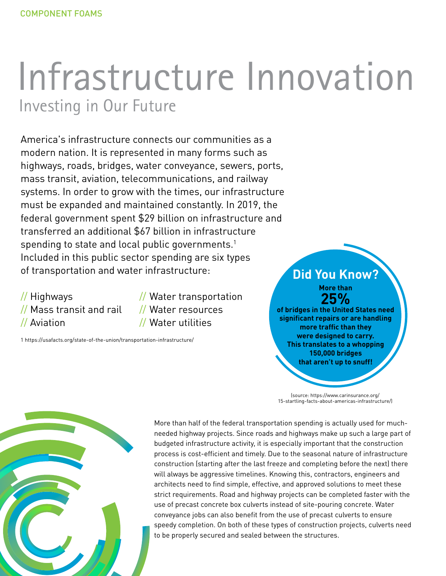# Infrastructure Innovation Investing in Our Future

America's infrastructure connects our communities as a modern nation. It is represented in many forms such as highways, roads, bridges, water conveyance, sewers, ports, mass transit, aviation, telecommunications, and railway systems. In order to grow with the times, our infrastructure must be expanded and maintained constantly. In 2019, the federal government spent \$29 billion on infrastructure and transferred an additional \$67 billion in infrastructure spending to state and local public governments.<sup>1</sup> Included in this public sector spending are six types of transportation and water infrastructure:

// Highways // Water transportation // Mass transit and rail // Water resources // Aviation // Water utilities

1 https://usafacts.org/state-of-the-union/transportation-infrastructure/

**Did You Know? More than** 

**25% of bridges in the United States need significant repairs or are handling more traffic than they were designed to carry. This translates to a whopping 150,000 bridges that aren't up to snuff!**

(source: https://www.carinsurance.org/ 15-startling-facts-about-americas-infrastructure/)



More than half of the federal transportation spending is actually used for muchneeded highway projects. Since roads and highways make up such a large part of budgeted infrastructure activity, it is especially important that the construction process is cost-efficient and timely. Due to the seasonal nature of infrastructure construction (starting after the last freeze and completing before the next) there will always be aggressive timelines. Knowing this, contractors, engineers and architects need to find simple, effective, and approved solutions to meet these strict requirements. Road and highway projects can be completed faster with the use of precast concrete box culverts instead of site-pouring concrete. Water conveyance jobs can also benefit from the use of precast culverts to ensure speedy completion. On both of these types of construction projects, culverts need to be properly secured and sealed between the structures.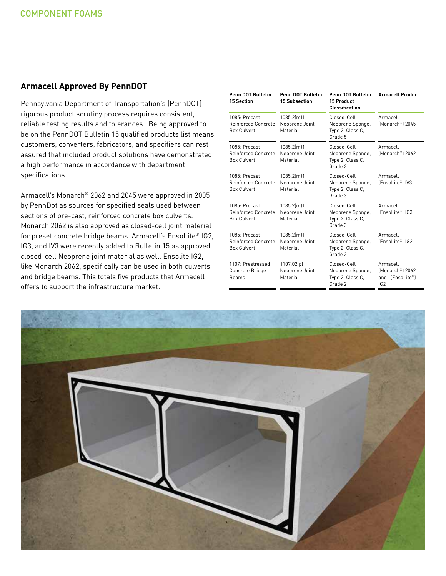#### **Armacell Approved By PennDOT**

Pennsylvania Department of Transportation's (PennDOT) rigorous product scrutiny process requires consistent, reliable testing results and tolerances. Being approved to be on the PennDOT Bulletin 15 qualified products list means customers, converters, fabricators, and specifiers can rest assured that included product solutions have demonstrated a high performance in accordance with department specifications.

Armacell's Monarch® 2062 and 2045 were approved in 2005 by PennDot as sources for specified seals used between sections of pre-cast, reinforced concrete box culverts. Monarch 2062 is also approved as closed-cell joint material for preset concrete bridge beams. Armacell's EnsoLite® IG2, IG3, and IV3 were recently added to Bulletin 15 as approved closed-cell Neoprene joint material as well. Ensolite IG2, like Monarch 2062, specifically can be used in both culverts and bridge beams. This totals five products that Armacell offers to support the infrastructure market.

| Penn DOT Bulletin<br><b>15 Section</b>                     | <b>Penn DOT Bulletin</b><br><b>15 Subsection</b> | Penn DOT Bulletin<br>15 Product<br>Classification              | <b>Armacell Product</b>                               |
|------------------------------------------------------------|--------------------------------------------------|----------------------------------------------------------------|-------------------------------------------------------|
| 1085 Precast<br>Reinforced Concrete<br><b>Box Culvert</b>  | 1085.2(m)1<br>Neoprene Joint<br>Material         | Closed-Cell<br>Neoprene Sponge,<br>Type 2, Class C.<br>Grade 5 | Armacell<br>[Monarch®] 2045                           |
| 1085: Precast<br>Reinforced Concrete<br><b>Box Culvert</b> | 1085.2(m)1<br>Neoprene Joint<br>Material         | Closed-Cell<br>Neoprene Sponge,<br>Type 2, Class C.<br>Grade 2 | Armacell<br>[Monarch <sup>®</sup> ] 2062              |
| 1085 Precast<br>Reinforced Concrete<br><b>Box Culvert</b>  | 1085.2(m)1<br>Neoprene Joint<br>Material         | Closed-Cell<br>Neoprene Sponge,<br>Type 2, Class C,<br>Grade 3 | Armacell<br>(EnsoLite®) IV3                           |
| 1085: Precast<br>Reinforced Concrete<br><b>Box Culvert</b> | 1085.2(m)1<br>Neoprene Joint<br>Material         | Closed-Cell<br>Neoprene Sponge,<br>Type 2, Class C.<br>Grade 3 | Armacell<br>(EnsoLite®) IG3                           |
| 1085 Precast<br>Reinforced Concrete<br><b>Box Culvert</b>  | 1085.2(m)1<br>Neoprene Joint<br>Material         | Closed-Cell<br>Neoprene Sponge,<br>Type 2, Class C.<br>Grade 2 | Armacell<br>[EnsoLite®] IG2                           |
| 1107 Prestressed<br>Concrete Bridge<br><b>Beams</b>        | 1107.02(p)<br>Neoprene Joint<br>Material         | Closed-Cell<br>Neoprene Sponge,<br>Type 2, Class C.<br>Grade 2 | Armacell<br>[Monarch®] 2062<br>and (EnsoLite®)<br>IG2 |

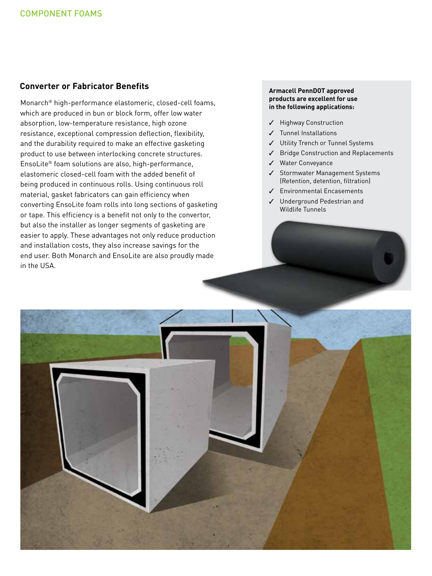#### **Converter or Fabricator Benefits**

Monarch® high-performance elastomeric, closed-cell foams, which are produced in bun or block form, offer low water absorption, low-temperature resistance, high ozone resistance, exceptional compression deflection, flexibility, and the durability required to make an effective gasketing product to use between interlocking concrete structures. EnsoLite® foam solutions are also, high-performance, elastomeric closed-cell foam with the added benefit of being produced in continuous rolls. Using continuous roll material, gasket fabricators can gain efficiency when converting EnsoLite foam rolls into long sections of gasketing or tape. This efficiency is a benefit not only to the convertor, but also the installer as longer segments of gasketing are easier to apply. These advantages not only reduce production and installation costs, they also increase savings for the end user. Both Monarch and EnsoLite are also proudly made in the USA.

#### **Armacell PennDOT approved products are excellent for use in the following applications:**

- ✓ Highway Construction
- Tunnel Installations
- ✓ Utility Trench or Tunnel Systems
- Bridge Construction and Replacements
- Water Conveyance
- Stormwater Management Systems (Retention, detention, filtration)
- Environmental Encasements
- Underground Pedestrian and Wildlife Tunnels

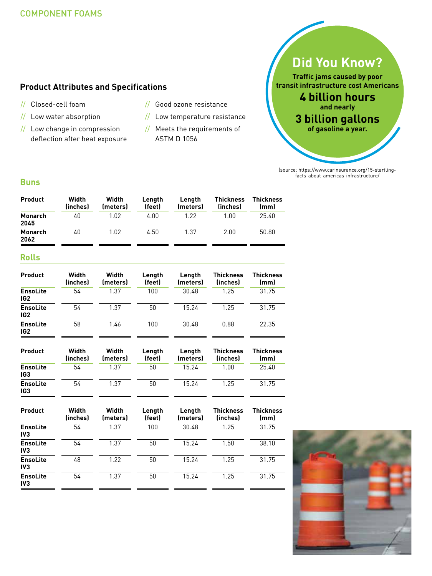#### **Product Attributes and Specifications**

- // Closed-cell foam
- // Low water absorption
- // Low change in compression deflection after heat exposure
- // Good ozone resistance
- // Low temperature resistance
- // Meets the requirements of ASTM D 1056

### **Did You Know?**

**Traffic jams caused by poor transit infrastructure cost Americans** 

#### **4 billion hours and nearly**

**3 billion gallons**

**of gasoline a year.**

(source: https://www.carinsurance.org/15-startlingfacts-about-americas-infrastructure/

#### **Buns**

| Product         | Width<br>(inches) | Width<br>(meters) | Length<br>(feet) | Length<br>(meters) | <b>Thickness</b><br>(inches) | <b>Thickness</b><br>(mm) |
|-----------------|-------------------|-------------------|------------------|--------------------|------------------------------|--------------------------|
| Monarch<br>2045 | 40                | 1.02              | 4.00             | 1.22               | 1.00                         | 25.40                    |
| Monarch<br>2062 | 40                | 1.02              | 4.50             | 1.37               | 2.00                         | 50.80                    |

#### **Rolls**

| <b>Product</b>                     | Width<br>(inches) | Width<br>(meters) | Length<br>(feet) | Length<br>(meters) | <b>Thickness</b><br>(inches) | <b>Thickness</b><br>(mm) |
|------------------------------------|-------------------|-------------------|------------------|--------------------|------------------------------|--------------------------|
| <b>EnsoLite</b><br>IG <sub>2</sub> | 54                | 1.37              | 100              | 30.48              | 1.25                         | 31.75                    |
| <b>EnsoLite</b><br>IG <sub>2</sub> | 54                | 1.37              | 50               | 15.24              | 1.25                         | 31.75                    |
| <b>EnsoLite</b><br>IG <sub>2</sub> | 58                | 1.46              | 100              | 30.48              | 0.88                         | 22.35                    |

| <b>Product</b>                     | Width<br>(inches) | Width<br>(meters) | Length<br>(feet) | Length<br>(meters) | <b>Thickness</b><br>(inches) | <b>Thickness</b><br>(mm) |
|------------------------------------|-------------------|-------------------|------------------|--------------------|------------------------------|--------------------------|
| <b>EnsoLite</b><br>IG <sub>3</sub> | 54                | 1.37              | 50               | 15.24              | 1.00                         | 25.40                    |
| <b>EnsoLite</b><br>IG <sub>3</sub> | 54                | 1.37              | 50               | 15.24              | 1.25                         | 31.75                    |

| <b>Product</b>                     | Width<br>(inches) | Width<br>(meters) | Length<br>(feet) | Length<br>(meters) | <b>Thickness</b><br>(inches) | Thickness<br>(mm) |
|------------------------------------|-------------------|-------------------|------------------|--------------------|------------------------------|-------------------|
| <b>EnsoLite</b><br>IV <sub>3</sub> | 54                | 1.37              | 100              | 30.48              | 1.25                         | 31.75             |
| <b>EnsoLite</b><br>IV <sub>3</sub> | 54                | 1.37              | 50               | 15.24              | 1.50                         | 38.10             |
| <b>EnsoLite</b><br>IV <sub>3</sub> | 48                | 1.22              | 50               | 15.24              | 1.25                         | 31.75             |
| <b>EnsoLite</b><br>IV <sub>3</sub> | 54                | 1.37              | 50               | 15.24              | 1.25                         | 31.75             |